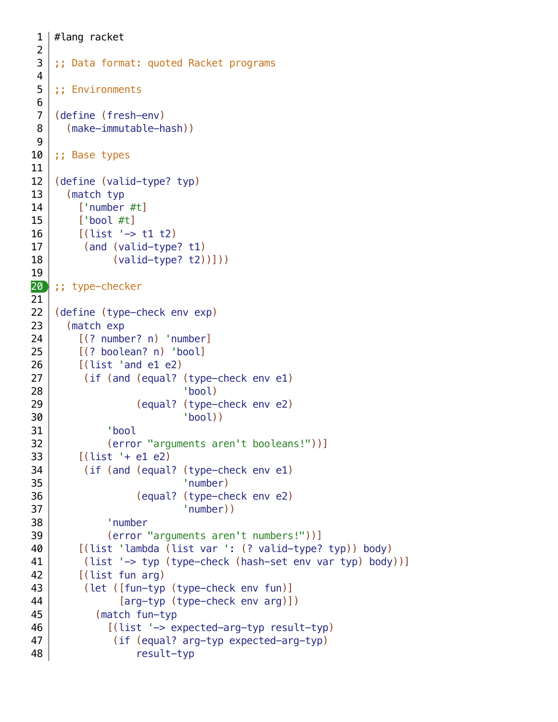```
#lang racket
    ;; Data format: quoted Racket programs
    ;; Environments
    (define (fresh-env)
       (make-immutable-hash))
    ;; Base types
    (define (valid-type? typ)
       (match typ
        ['number #t]
         ['bool #t]
        [(\text{list } -> \text{t1 } \text{t2})] (and (valid-type? t1)
                (valid-type? t2))]))
20);; type-checker
    (define (type-check env exp)
       (match exp
         [(? number? n) 'number]
         [(? boolean? n) 'bool]
         [(list 'and e1 e2)
          (if (and (equal? (type-check env e1)
                             'bool)
                    (equal? (type-check env e2)
                             'bool))
               'bool
               (error "arguments aren't booleans!"))]
        [(list '+ e1 e2)
          (if (and (equal? (type-check env e1)
                             'number)
                    (equal? (type-check env e2)
                             'number))
               'number
               (error "arguments aren't numbers!"))]
         [(list 'lambda (list var ': (? valid-type? typ)) body)
          (list '-> typ (type-check (hash-set env var typ) body))]
          [(list fun arg)
          (let ([fun-typ (type-check env fun)]
                 [arg-typ (type-check env arg)])
             (match fun-typ
               [(list '-> expected-arg-typ result-typ)
                (if (equal? arg-typ expected-arg-typ)
                    result-typ
 1
 2
 3
 4
 5
 6
 7
 8
 9
10
11
12
13
14
15
16
17
18
19
21
22
23
24
25
26
27
28
29
30
31
32
33
34
35
36
37
38
39
40
41
42
43
44
45
46
47
48
```